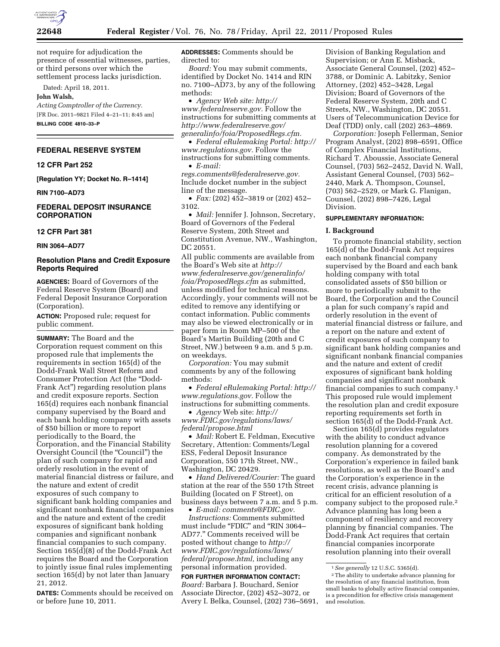

not require for adjudication the presence of essential witnesses, parties, or third persons over which the settlement process lacks jurisdiction.

Dated: April 18, 2011.

#### **John Walsh,**

*Acting Comptroller of the Currency.*  [FR Doc. 2011–9821 Filed 4–21–11; 8:45 am] **BILLING CODE 4810–33–P** 

## **FEDERAL RESERVE SYSTEM**

**12 CFR Part 252** 

**[Regulation YY; Docket No. R–1414]** 

**RIN 7100–AD73** 

# **FEDERAL DEPOSIT INSURANCE CORPORATION**

#### **12 CFR Part 381**

**RIN 3064–AD77** 

# **Resolution Plans and Credit Exposure Reports Required**

**AGENCIES:** Board of Governors of the Federal Reserve System (Board) and Federal Deposit Insurance Corporation (Corporation).

**ACTION:** Proposed rule; request for public comment.

**SUMMARY:** The Board and the Corporation request comment on this proposed rule that implements the requirements in section 165(d) of the Dodd-Frank Wall Street Reform and Consumer Protection Act (the ''Dodd-Frank Act'') regarding resolution plans and credit exposure reports. Section 165(d) requires each nonbank financial company supervised by the Board and each bank holding company with assets of \$50 billion or more to report periodically to the Board, the Corporation, and the Financial Stability Oversight Council (the "Council") the plan of such company for rapid and orderly resolution in the event of material financial distress or failure, and the nature and extent of credit exposures of such company to significant bank holding companies and significant nonbank financial companies and the nature and extent of the credit exposures of significant bank holding companies and significant nonbank financial companies to such company. Section 165(d)(8) of the Dodd-Frank Act requires the Board and the Corporation to jointly issue final rules implementing section 165(d) by not later than January 21, 2012.

**DATES:** Comments should be received on or before June 10, 2011.

**ADDRESSES:** Comments should be directed to:

*Board:* You may submit comments, identified by Docket No. 1414 and RIN no. 7100–AD73, by any of the following methods:

• *Agency Web site: [http://](http://www.federalreserve.gov) [www.federalreserve.gov.](http://www.federalreserve.gov)* Follow the instructions for submitting comments at *[http://www.federalreserve.gov/](http://www.federalreserve.gov/generalinfo/foia/ProposedRegs.cfm)  [generalinfo/foia/ProposedRegs.cfm.](http://www.federalreserve.gov/generalinfo/foia/ProposedRegs.cfm)* 

• *Federal eRulemaking Portal: [http://](http://www.regulations.gov)  [www.regulations.gov.](http://www.regulations.gov)* Follow the instructions for submitting comments. • *E-mail:* 

*[regs.comments@federalreserve.gov.](mailto:regs.comments@federalreserve.gov)*  Include docket number in the subject line of the message.

• *Fax:* (202) 452–3819 or (202) 452– 3102.

• *Mail:* Jennifer J. Johnson, Secretary, Board of Governors of the Federal Reserve System, 20th Street and Constitution Avenue, NW., Washington, DC 20551.

All public comments are available from the Board's Web site at *[http://](http://www.federalreserve.gov/generalinfo/foia/ProposedRegs.cfm) [www.federalreserve.gov/generalinfo/](http://www.federalreserve.gov/generalinfo/foia/ProposedRegs.cfm) [foia/ProposedRegs.cfm](http://www.federalreserve.gov/generalinfo/foia/ProposedRegs.cfm)* as submitted, unless modified for technical reasons. Accordingly, your comments will not be edited to remove any identifying or contact information. Public comments may also be viewed electronically or in paper form in Room MP–500 of the Board's Martin Building (20th and C Street, NW.) between 9 a.m. and 5 p.m. on weekdays.

*Corporation:* You may submit comments by any of the following methods:

• *Federal eRulemaking Portal: [http://](http://www.regulations.gov)  [www.regulations.gov.](http://www.regulations.gov)* Follow the instructions for submitting comments.

• *Agency* Web site: *[http://](http://www.FDIC.gov/regulations/laws/federal/propose.html) [www.FDIC.gov/regulations/laws/](http://www.FDIC.gov/regulations/laws/federal/propose.html)  [federal/propose.html](http://www.FDIC.gov/regulations/laws/federal/propose.html)* 

• *Mail:* Robert E. Feldman, Executive Secretary, Attention: Comments/Legal ESS, Federal Deposit Insurance Corporation, 550 17th Street, NW., Washington, DC 20429.

• *Hand Delivered/Courier:* The guard station at the rear of the 550 17th Street Building (located on F Street), on business days between 7 a.m. and 5 p.m.

• *E-mail: [comments@FDIC.gov.](mailto:comments@FDIC.gov)  Instructions:* Comments submitted must include "FDIC" and "RIN 3064-AD77.'' Comments received will be posted without change to *[http://](http://www.FDIC.gov/regulations/laws/federal/propose.html) [www.FDIC.gov/regulations/laws/](http://www.FDIC.gov/regulations/laws/federal/propose.html)  [federal/propose.html,](http://www.FDIC.gov/regulations/laws/federal/propose.html)* including any personal information provided.

**FOR FURTHER INFORMATION CONTACT:**  *Board:* Barbara J. Bouchard, Senior Associate Director, (202) 452–3072, or Avery I. Belka, Counsel, (202) 736–5691,

Division of Banking Regulation and Supervision; or Ann E. Misback, Associate General Counsel, (202) 452– 3788, or Dominic A. Labitzky, Senior Attorney, (202) 452–3428, Legal Division; Board of Governors of the Federal Reserve System, 20th and C Streets, NW., Washington, DC 20551. Users of Telecommunication Device for Deaf (TDD) only, call (202) 263–4869.

*Corporation:* Joseph Fellerman, Senior Program Analyst, (202) 898–6591, Office of Complex Financial Institutions, Richard T. Aboussie, Associate General Counsel, (703) 562–2452, David N. Wall, Assistant General Counsel, (703) 562– 2440, Mark A. Thompson, Counsel, (703) 562–2529, or Mark G. Flanigan, Counsel, (202) 898–7426, Legal Division.

#### **SUPPLEMENTARY INFORMATION:**

## **I. Background**

To promote financial stability, section 165(d) of the Dodd-Frank Act requires each nonbank financial company supervised by the Board and each bank holding company with total consolidated assets of \$50 billion or more to periodically submit to the Board, the Corporation and the Council a plan for such company's rapid and orderly resolution in the event of material financial distress or failure, and a report on the nature and extent of credit exposures of such company to significant bank holding companies and significant nonbank financial companies and the nature and extent of credit exposures of significant bank holding companies and significant nonbank financial companies to such company.1 This proposed rule would implement the resolution plan and credit exposure reporting requirements set forth in section 165(d) of the Dodd-Frank Act.

Section 165(d) provides regulators with the ability to conduct advance resolution planning for a covered company. As demonstrated by the Corporation's experience in failed bank resolutions, as well as the Board's and the Corporation's experience in the recent crisis, advance planning is critical for an efficient resolution of a company subject to the proposed rule.2 Advance planning has long been a component of resiliency and recovery planning by financial companies. The Dodd-Frank Act requires that certain financial companies incorporate resolution planning into their overall

<sup>1</sup>*See generally* 12 U.S.C. 5365(d).

<sup>2</sup>The ability to undertake advance planning for the resolution of any financial institution, from small banks to globally active financial companies, is a precondition for effective crisis management and resolution.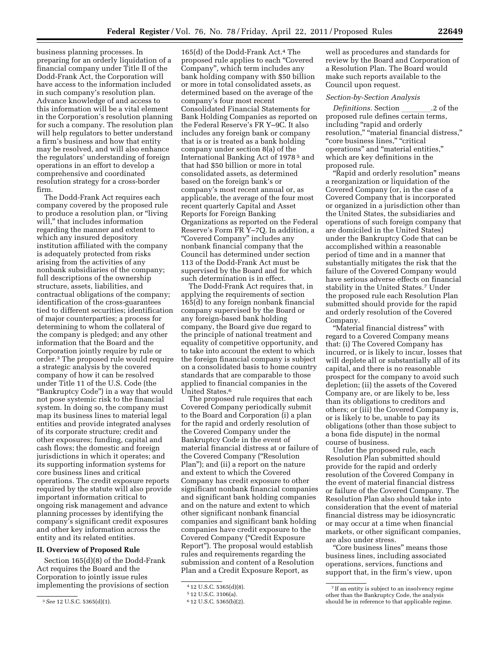business planning processes. In preparing for an orderly liquidation of a financial company under Title II of the Dodd-Frank Act, the Corporation will have access to the information included in such company's resolution plan. Advance knowledge of and access to this information will be a vital element in the Corporation's resolution planning for such a company. The resolution plan will help regulators to better understand a firm's business and how that entity may be resolved, and will also enhance the regulators' understanding of foreign operations in an effort to develop a comprehensive and coordinated

resolution strategy for a cross-border

firm. The Dodd-Frank Act requires each company covered by the proposed rule to produce a resolution plan, or ''living will," that includes information regarding the manner and extent to which any insured depository institution affiliated with the company is adequately protected from risks arising from the activities of any nonbank subsidiaries of the company; full descriptions of the ownership structure, assets, liabilities, and contractual obligations of the company; identification of the cross-guarantees tied to different securities; identification of major counterparties; a process for determining to whom the collateral of the company is pledged; and any other information that the Board and the Corporation jointly require by rule or order.3 The proposed rule would require a strategic analysis by the covered company of how it can be resolved under Title 11 of the U.S. Code (the ''Bankruptcy Code'') in a way that would not pose systemic risk to the financial system. In doing so, the company must map its business lines to material legal entities and provide integrated analyses of its corporate structure; credit and other exposures; funding, capital and cash flows; the domestic and foreign jurisdictions in which it operates; and its supporting information systems for core business lines and critical operations. The credit exposure reports required by the statute will also provide important information critical to ongoing risk management and advance planning processes by identifying the company's significant credit exposures and other key information across the entity and its related entities.

## **II. Overview of Proposed Rule**

Section 165(d)(8) of the Dodd-Frank Act requires the Board and the Corporation to jointly issue rules implementing the provisions of section

165(d) of the Dodd-Frank Act.4 The proposed rule applies to each ''Covered Company'', which term includes any bank holding company with \$50 billion or more in total consolidated assets, as determined based on the average of the company's four most recent Consolidated Financial Statements for Bank Holding Companies as reported on the Federal Reserve's FR Y–9C. It also includes any foreign bank or company that is or is treated as a bank holding company under section 8(a) of the International Banking Act of 1978 5 and that had \$50 billion or more in total consolidated assets, as determined based on the foreign bank's or company's most recent annual or, as applicable, the average of the four most recent quarterly Capital and Asset Reports for Foreign Banking Organizations as reported on the Federal Reserve's Form FR Y–7Q. In addition, a ''Covered Company'' includes any nonbank financial company that the Council has determined under section 113 of the Dodd-Frank Act must be supervised by the Board and for which such determination is in effect.

The Dodd-Frank Act requires that, in applying the requirements of section 165(d) to any foreign nonbank financial company supervised by the Board or any foreign-based bank holding company, the Board give due regard to the principle of national treatment and equality of competitive opportunity, and to take into account the extent to which the foreign financial company is subject on a consolidated basis to home country standards that are comparable to those applied to financial companies in the United States.6

The proposed rule requires that each Covered Company periodically submit to the Board and Corporation (i) a plan for the rapid and orderly resolution of the Covered Company under the Bankruptcy Code in the event of material financial distress at or failure of the Covered Company (''Resolution Plan''); and (ii) a report on the nature and extent to which the Covered Company has credit exposure to other significant nonbank financial companies and significant bank holding companies and on the nature and extent to which other significant nonbank financial companies and significant bank holding companies have credit exposure to the Covered Company (''Credit Exposure Report''). The proposal would establish rules and requirements regarding the submission and content of a Resolution Plan and a Credit Exposure Report, as

well as procedures and standards for review by the Board and Corporation of a Resolution Plan. The Board would make such reports available to the Council upon request.

# *Section-by-Section Analysis*

*Definitions.* Section \_\_\_\_\_\_\_.2 of the proposed rule defines certain terms, including "rapid and orderly resolution," "material financial distress," "core business lines," "critical operations'' and ''material entities,'' which are key definitions in the proposed rule.

''Rapid and orderly resolution'' means a reorganization or liquidation of the Covered Company (or, in the case of a Covered Company that is incorporated or organized in a jurisdiction other than the United States, the subsidiaries and operations of such foreign company that are domiciled in the United States) under the Bankruptcy Code that can be accomplished within a reasonable period of time and in a manner that substantially mitigates the risk that the failure of the Covered Company would have serious adverse effects on financial stability in the United States.7 Under the proposed rule each Resolution Plan submitted should provide for the rapid and orderly resolution of the Covered Company.

''Material financial distress'' with regard to a Covered Company means that: (i) The Covered Company has incurred, or is likely to incur, losses that will deplete all or substantially all of its capital, and there is no reasonable prospect for the company to avoid such depletion; (ii) the assets of the Covered Company are, or are likely to be, less than its obligations to creditors and others; or (iii) the Covered Company is, or is likely to be, unable to pay its obligations (other than those subject to a bona fide dispute) in the normal course of business.

Under the proposed rule, each Resolution Plan submitted should provide for the rapid and orderly resolution of the Covered Company in the event of material financial distress or failure of the Covered Company. The Resolution Plan also should take into consideration that the event of material financial distress may be idiosyncratic or may occur at a time when financial markets, or other significant companies, are also under stress.

"Core business lines" means those business lines, including associated operations, services, functions and support that, in the firm's view, upon

<sup>3</sup>*See* 12 U.S.C. 5365(d)(1).

<sup>4</sup> 12 U.S.C. 5365(d)(8).

<sup>5</sup> 12 U.S.C. 3106(a).

<sup>6</sup> 12 U.S.C. 5365(b)(2).

<sup>7</sup> If an entity is subject to an insolvency regime other than the Bankruptcy Code, the analysis should be in reference to that applicable regime.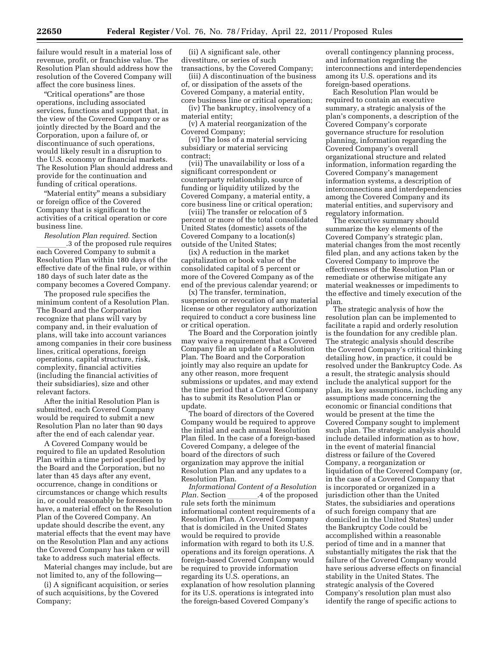failure would result in a material loss of revenue, profit, or franchise value. The Resolution Plan should address how the resolution of the Covered Company will affect the core business lines.

''Critical operations'' are those operations, including associated services, functions and support that, in the view of the Covered Company or as jointly directed by the Board and the Corporation, upon a failure of, or discontinuance of such operations, would likely result in a disruption to the U.S. economy or financial markets. The Resolution Plan should address and provide for the continuation and funding of critical operations.

"Material entity" means a subsidiary or foreign office of the Covered Company that is significant to the activities of a critical operation or core business line.

*Resolution Plan required.* Section \_\_\_\_\_\_\_\_.3 of the proposed rule requires<br>each Covered Company to submit a Resolution Plan within 180 days of the effective date of the final rule, or within 180 days of such later date as the company becomes a Covered Company.

The proposed rule specifies the minimum content of a Resolution Plan. The Board and the Corporation recognize that plans will vary by company and, in their evaluation of plans, will take into account variances among companies in their core business lines, critical operations, foreign operations, capital structure, risk, complexity, financial activities (including the financial activities of their subsidiaries), size and other relevant factors.

After the initial Resolution Plan is submitted, each Covered Company would be required to submit a new Resolution Plan no later than 90 days after the end of each calendar year.

A Covered Company would be required to file an updated Resolution Plan within a time period specified by the Board and the Corporation, but no later than 45 days after any event, occurrence, change in conditions or circumstances or change which results in, or could reasonably be foreseen to have, a material effect on the Resolution Plan of the Covered Company. An update should describe the event, any material effects that the event may have on the Resolution Plan and any actions the Covered Company has taken or will take to address such material effects.

Material changes may include, but are not limited to, any of the following—

(i) A significant acquisition, or series of such acquisitions, by the Covered Company;

(ii) A significant sale, other divestiture, or series of such

transactions, by the Covered Company; (iii) A discontinuation of the business of, or dissipation of the assets of the Covered Company, a material entity, core business line or critical operation;

(iv) The bankruptcy, insolvency of a material entity;

(v) A material reorganization of the Covered Company;

(vi) The loss of a material servicing subsidiary or material servicing contract;

(vii) The unavailability or loss of a significant correspondent or counterparty relationship, source of funding or liquidity utilized by the Covered Company, a material entity, a core business line or critical operation;

(viii) The transfer or relocation of 5 percent or more of the total consolidated United States (domestic) assets of the Covered Company to a location(s) outside of the United States;

(ix) A reduction in the market capitalization or book value of the consolidated capital of 5 percent or more of the Covered Company as of the end of the previous calendar yearend; or

(x) The transfer, termination, suspension or revocation of any material license or other regulatory authorization required to conduct a core business line or critical operation.

The Board and the Corporation jointly may waive a requirement that a Covered Company file an update of a Resolution Plan. The Board and the Corporation jointly may also require an update for any other reason, more frequent submissions or updates, and may extend the time period that a Covered Company has to submit its Resolution Plan or update.

The board of directors of the Covered Company would be required to approve the initial and each annual Resolution Plan filed. In the case of a foreign-based Covered Company, a delegee of the board of the directors of such organization may approve the initial Resolution Plan and any updates to a Resolution Plan.

*Informational Content of a Resolution Plan.* Section \_\_\_\_\_\_\_.4 of the proposed rule sets forth the minimum informational content requirements of a Resolution Plan. A Covered Company that is domiciled in the United States would be required to provide information with regard to both its U.S. operations and its foreign operations. A foreign-based Covered Company would be required to provide information regarding its U.S. operations, an explanation of how resolution planning for its U.S. operations is integrated into the foreign-based Covered Company's

overall contingency planning process, and information regarding the interconnections and interdependencies among its U.S. operations and its foreign-based operations.

Each Resolution Plan would be required to contain an executive summary, a strategic analysis of the plan's components, a description of the Covered Company's corporate governance structure for resolution planning, information regarding the Covered Company's overall organizational structure and related information, information regarding the Covered Company's management information systems, a description of interconnections and interdependencies among the Covered Company and its material entities, and supervisory and regulatory information.

The executive summary should summarize the key elements of the Covered Company's strategic plan, material changes from the most recently filed plan, and any actions taken by the Covered Company to improve the effectiveness of the Resolution Plan or remediate or otherwise mitigate any material weaknesses or impediments to the effective and timely execution of the plan.

The strategic analysis of how the resolution plan can be implemented to facilitate a rapid and orderly resolution is the foundation for any credible plan. The strategic analysis should describe the Covered Company's critical thinking detailing how, in practice, it could be resolved under the Bankruptcy Code. As a result, the strategic analysis should include the analytical support for the plan, its key assumptions, including any assumptions made concerning the economic or financial conditions that would be present at the time the Covered Company sought to implement such plan. The strategic analysis should include detailed information as to how, in the event of material financial distress or failure of the Covered Company, a reorganization or liquidation of the Covered Company (or, in the case of a Covered Company that is incorporated or organized in a jurisdiction other than the United States, the subsidiaries and operations of such foreign company that are domiciled in the United States) under the Bankruptcy Code could be accomplished within a reasonable period of time and in a manner that substantially mitigates the risk that the failure of the Covered Company would have serious adverse effects on financial stability in the United States. The strategic analysis of the Covered Company's resolution plan must also identify the range of specific actions to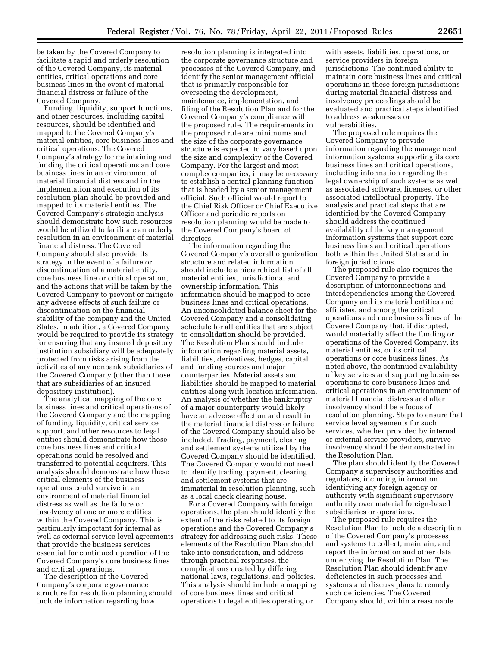be taken by the Covered Company to facilitate a rapid and orderly resolution of the Covered Company, its material entities, critical operations and core business lines in the event of material financial distress or failure of the Covered Company.

Funding, liquidity, support functions, and other resources, including capital resources, should be identified and mapped to the Covered Company's material entities, core business lines and critical operations. The Covered Company's strategy for maintaining and funding the critical operations and core business lines in an environment of material financial distress and in the implementation and execution of its resolution plan should be provided and mapped to its material entities. The Covered Company's strategic analysis should demonstrate how such resources would be utilized to facilitate an orderly resolution in an environment of material financial distress. The Covered Company should also provide its strategy in the event of a failure or discontinuation of a material entity, core business line or critical operation, and the actions that will be taken by the Covered Company to prevent or mitigate any adverse effects of such failure or discontinuation on the financial stability of the company and the United States. In addition, a Covered Company would be required to provide its strategy for ensuring that any insured depository institution subsidiary will be adequately protected from risks arising from the activities of any nonbank subsidiaries of the Covered Company (other than those that are subsidiaries of an insured depository institution).

The analytical mapping of the core business lines and critical operations of the Covered Company and the mapping of funding, liquidity, critical service support, and other resources to legal entities should demonstrate how those core business lines and critical operations could be resolved and transferred to potential acquirers. This analysis should demonstrate how these critical elements of the business operations could survive in an environment of material financial distress as well as the failure or insolvency of one or more entities within the Covered Company. This is particularly important for internal as well as external service level agreements that provide the business services essential for continued operation of the Covered Company's core business lines and critical operations.

The description of the Covered Company's corporate governance structure for resolution planning should include information regarding how

resolution planning is integrated into the corporate governance structure and processes of the Covered Company, and identify the senior management official that is primarily responsible for overseeing the development, maintenance, implementation, and filing of the Resolution Plan and for the Covered Company's compliance with the proposed rule. The requirements in the proposed rule are minimums and the size of the corporate governance structure is expected to vary based upon the size and complexity of the Covered Company. For the largest and most complex companies, it may be necessary to establish a central planning function that is headed by a senior management official. Such official would report to the Chief Risk Officer or Chief Executive Officer and periodic reports on resolution planning would be made to the Covered Company's board of directors.

The information regarding the Covered Company's overall organization structure and related information should include a hierarchical list of all material entities, jurisdictional and ownership information. This information should be mapped to core business lines and critical operations. An unconsolidated balance sheet for the Covered Company and a consolidating schedule for all entities that are subject to consolidation should be provided. The Resolution Plan should include information regarding material assets, liabilities, derivatives, hedges, capital and funding sources and major counterparties. Material assets and liabilities should be mapped to material entities along with location information. An analysis of whether the bankruptcy of a major counterparty would likely have an adverse effect on and result in the material financial distress or failure of the Covered Company should also be included. Trading, payment, clearing and settlement systems utilized by the Covered Company should be identified. The Covered Company would not need to identify trading, payment, clearing and settlement systems that are immaterial in resolution planning, such as a local check clearing house.

For a Covered Company with foreign operations, the plan should identify the extent of the risks related to its foreign operations and the Covered Company's strategy for addressing such risks. These elements of the Resolution Plan should take into consideration, and address through practical responses, the complications created by differing national laws, regulations, and policies. This analysis should include a mapping of core business lines and critical operations to legal entities operating or

with assets, liabilities, operations, or service providers in foreign jurisdictions. The continued ability to maintain core business lines and critical operations in these foreign jurisdictions during material financial distress and insolvency proceedings should be evaluated and practical steps identified to address weaknesses or vulnerabilities.

The proposed rule requires the Covered Company to provide information regarding the management information systems supporting its core business lines and critical operations, including information regarding the legal ownership of such systems as well as associated software, licenses, or other associated intellectual property. The analysis and practical steps that are identified by the Covered Company should address the continued availability of the key management information systems that support core business lines and critical operations both within the United States and in foreign jurisdictions.

The proposed rule also requires the Covered Company to provide a description of interconnections and interdependencies among the Covered Company and its material entities and affiliates, and among the critical operations and core business lines of the Covered Company that, if disrupted, would materially affect the funding or operations of the Covered Company, its material entities, or its critical operations or core business lines. As noted above, the continued availability of key services and supporting business operations to core business lines and critical operations in an environment of material financial distress and after insolvency should be a focus of resolution planning. Steps to ensure that service level agreements for such services, whether provided by internal or external service providers, survive insolvency should be demonstrated in the Resolution Plan.

The plan should identify the Covered Company's supervisory authorities and regulators, including information identifying any foreign agency or authority with significant supervisory authority over material foreign-based subsidiaries or operations.

The proposed rule requires the Resolution Plan to include a description of the Covered Company's processes and systems to collect, maintain, and report the information and other data underlying the Resolution Plan. The Resolution Plan should identify any deficiencies in such processes and systems and discuss plans to remedy such deficiencies. The Covered Company should, within a reasonable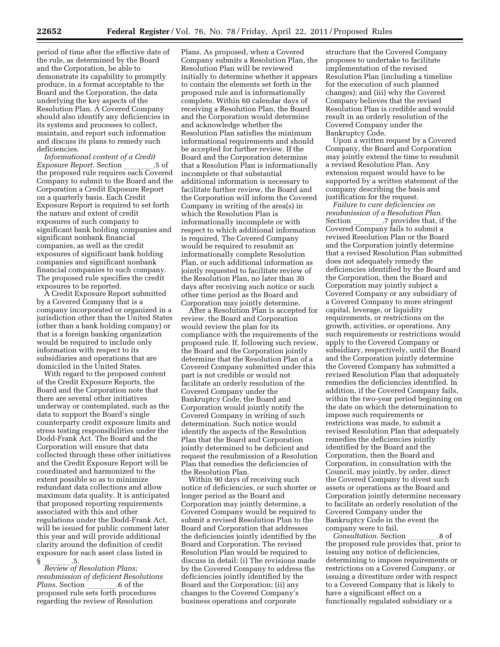period of time after the effective date of the rule, as determined by the Board and the Corporation, be able to demonstrate its capability to promptly produce, in a format acceptable to the Board and the Corporation, the data underlying the key aspects of the Resolution Plan. A Covered Company should also identify any deficiencies in its systems and processes to collect, maintain, and report such information and discuss its plans to remedy such deficiencies.

*Informational content of a Credit Exposure Report.* Section \_\_\_\_\_\_\_.5 of<br>the proposed rule requires each Covered Company to submit to the Board and the Corporation a Credit Exposure Report on a quarterly basis. Each Credit Exposure Report is required to set forth the nature and extent of credit exposures of such company to significant bank holding companies and significant nonbank financial companies, as well as the credit exposures of significant bank holding companies and significant nonbank financial companies to such company. The proposed rule specifies the credit exposures to be reported.

A Credit Exposure Report submitted by a Covered Company that is a company incorporated or organized in a jurisdiction other than the United States (other than a bank holding company) or that is a foreign banking organization would be required to include only information with respect to its subsidiaries and operations that are domiciled in the United States.

With regard to the proposed content of the Credit Exposure Reports, the Board and the Corporation note that there are several other initiatives underway or contemplated, such as the data to support the Board's single counterparty credit exposure limits and stress testing responsibilities under the Dodd-Frank Act. The Board and the Corporation will ensure that data collected through these other initiatives and the Credit Exposure Report will be coordinated and harmonized to the extent possible so as to minimize redundant data collections and allow maximum data quality. It is anticipated that proposed reporting requirements associated with this and other regulations under the Dodd-Frank Act, will be issued for public comment later this year and will provide additional clarity around the definition of credit exposure for each asset class listed in

§ llll.5. *Review of Resolution Plans; resubmission of deficient Resolutions Plans.* Section \_\_\_\_\_\_\_.6 of the<br>proposed rule sets forth procedures regarding the review of Resolution

Plans. As proposed, when a Covered Company submits a Resolution Plan, the Resolution Plan will be reviewed initially to determine whether it appears to contain the elements set forth in the proposed rule and is informationally complete. Within 60 calendar days of receiving a Resolution Plan, the Board and the Corporation would determine and acknowledge whether the Resolution Plan satisfies the minimum informational requirements and should be accepted for further review. If the Board and the Corporation determine that a Resolution Plan is informationally incomplete or that substantial additional information is necessary to facilitate further review, the Board and the Corporation will inform the Covered Company in writing of the area(s) in which the Resolution Plan is informationally incomplete or with respect to which additional information is required. The Covered Company would be required to resubmit an informationally complete Resolution Plan, or such additional information as jointly requested to facilitate review of the Resolution Plan, no later than 30 days after receiving such notice or such other time period as the Board and Corporation may jointly determine.

After a Resolution Plan is accepted for review, the Board and Corporation would review the plan for its compliance with the requirements of the proposed rule. If, following such review, the Board and the Corporation jointly determine that the Resolution Plan of a Covered Company submitted under this part is not credible or would not facilitate an orderly resolution of the Covered Company under the Bankruptcy Code, the Board and Corporation would jointly notify the Covered Company in writing of such determination. Such notice would identify the aspects of the Resolution Plan that the Board and Corporation jointly determined to be deficient and request the resubmission of a Resolution Plan that remedies the deficiencies of the Resolution Plan.

Within 90 days of receiving such notice of deficiencies, or such shorter or longer period as the Board and Corporation may jointly determine, a Covered Company would be required to submit a revised Resolution Plan to the Board and Corporation that addresses the deficiencies jointly identified by the Board and Corporation. The revised Resolution Plan would be required to discuss in detail: (i) The revisions made by the Covered Company to address the deficiencies jointly identified by the Board and the Corporation; (ii) any changes to the Covered Company's business operations and corporate

structure that the Covered Company proposes to undertake to facilitate implementation of the revised Resolution Plan (including a timeline for the execution of such planned changes); and (iii) why the Covered Company believes that the revised Resolution Plan is credible and would result in an orderly resolution of the Covered Company under the Bankruptcy Code.

Upon a written request by a Covered Company, the Board and Corporation may jointly extend the time to resubmit a revised Resolution Plan. Any extension request would have to be supported by a written statement of the company describing the basis and justification for the request.

*Failure to cure deficiencies on resubmission of a Resolution Plan.*  Section \_\_\_\_\_\_\_.7 provides that, if the<br>Covered Company fails to submit a revised Resolution Plan or the Board and the Corporation jointly determine that a revised Resolution Plan submitted does not adequately remedy the deficiencies identified by the Board and the Corporation, then the Board and Corporation may jointly subject a Covered Company or any subsidiary of a Covered Company to more stringent capital, leverage, or liquidity requirements, or restrictions on the growth, activities, or operations. Any such requirements or restrictions would apply to the Covered Company or subsidiary, respectively, until the Board and the Corporation jointly determine the Covered Company has submitted a revised Resolution Plan that adequately remedies the deficiencies identified. In addition, if the Covered Company fails, within the two-year period beginning on the date on which the determination to impose such requirements or restrictions was made, to submit a revised Resolution Plan that adequately remedies the deficiencies jointly identified by the Board and the Corporation, then the Board and Corporation, in consultation with the Council, may jointly, by order, direct the Covered Company to divest such assets or operations as the Board and Corporation jointly determine necessary to facilitate an orderly resolution of the Covered Company under the Bankruptcy Code in the event the company were to fail.

*Consultation.* Section \_\_\_\_\_\_\_.8 of<br>the proposed rule provides that, prior to issuing any notice of deficiencies, determining to impose requirements or restrictions on a Covered Company, or issuing a divestiture order with respect to a Covered Company that is likely to have a significant effect on a functionally regulated subsidiary or a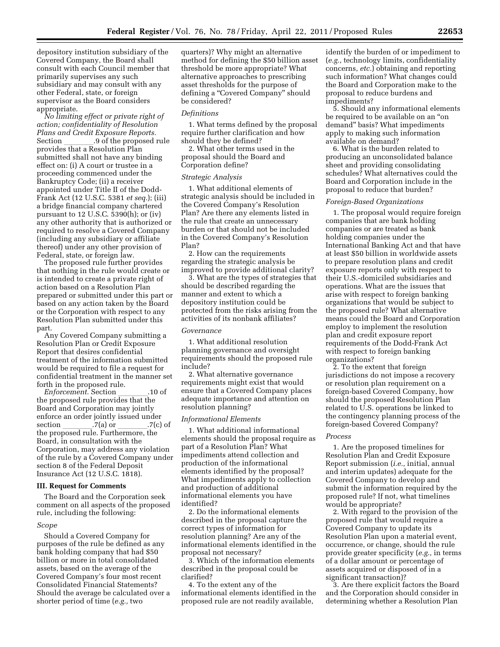depository institution subsidiary of the Covered Company, the Board shall consult with each Council member that primarily supervises any such subsidiary and may consult with any other Federal, state, or foreign supervisor as the Board considers appropriate.

*No limiting effect or private right of action; confidentiality of Resolution Plans and Credit Exposure Reports.*  Section \_\_\_\_\_\_\_.9 of the proposed rule<br>provides that a Resolution Plan submitted shall not have any binding effect on: (i) A court or trustee in a proceeding commenced under the Bankruptcy Code; (ii) a receiver appointed under Title II of the Dodd-Frank Act (12 U.S.C. 5381 *et seq.*); (iii) a bridge financial company chartered pursuant to 12 U.S.C. 5390(h); or (iv) any other authority that is authorized or required to resolve a Covered Company (including any subsidiary or affiliate thereof) under any other provision of Federal, state, or foreign law.

The proposed rule further provides that nothing in the rule would create or is intended to create a private right of action based on a Resolution Plan prepared or submitted under this part or based on any action taken by the Board or the Corporation with respect to any Resolution Plan submitted under this part.

Any Covered Company submitting a Resolution Plan or Credit Exposure Report that desires confidential treatment of the information submitted would be required to file a request for confidential treatment in the manner set forth in the proposed rule.

*Enforcement.* Section \_\_\_\_\_\_\_.10 of the proposed rule provides that the Board and Corporation may jointly enforce an order jointly issued under section \_\_\_\_\_\_\_.7(a) or \_\_\_\_\_\_\_.7(c) of<br>the proposed rule. Furthermore, the Board, in consultation with the Corporation, may address any violation of the rule by a Covered Company under section 8 of the Federal Deposit Insurance Act (12 U.S.C. 1818).

# **III. Request for Comments**

The Board and the Corporation seek comment on all aspects of the proposed rule, including the following:

#### *Scope*

Should a Covered Company for purposes of the rule be defined as any bank holding company that had \$50 billion or more in total consolidated assets, based on the average of the Covered Company's four most recent Consolidated Financial Statements? Should the average be calculated over a shorter period of time (*e.g.,* two

quarters)? Why might an alternative method for defining the \$50 billion asset threshold be more appropriate? What alternative approaches to prescribing asset thresholds for the purpose of defining a "Covered Company" should be considered?

#### *Definitions*

1. What terms defined by the proposal require further clarification and how should they be defined?

2. What other terms used in the proposal should the Board and Corporation define?

#### *Strategic Analysis*

1. What additional elements of strategic analysis should be included in the Covered Company's Resolution Plan? Are there any elements listed in the rule that create an unnecessary burden or that should not be included in the Covered Company's Resolution Plan?

2. How can the requirements regarding the strategic analysis be improved to provide additional clarity?

3. What are the types of strategies that should be described regarding the manner and extent to which a depository institution could be protected from the risks arising from the activities of its nonbank affiliates?

## *Governance*

1. What additional resolution planning governance and oversight requirements should the proposed rule include?

2. What alternative governance requirements might exist that would ensure that a Covered Company places adequate importance and attention on resolution planning?

#### *Informational Elements*

1. What additional informational elements should the proposal require as part of a Resolution Plan? What impediments attend collection and production of the informational elements identified by the proposal? What impediments apply to collection and production of additional informational elements you have identified?

2. Do the informational elements described in the proposal capture the correct types of information for resolution planning? Are any of the informational elements identified in the proposal not necessary?

3. Which of the information elements described in the proposal could be clarified?

4. To the extent any of the informational elements identified in the proposed rule are not readily available,

identify the burden of or impediment to (*e.g.,* technology limits, confidentiality concerns, *etc.*) obtaining and reporting such information? What changes could the Board and Corporation make to the proposal to reduce burdens and impediments?

5. Should any informational elements be required to be available on an ''on demand'' basis? What impediments apply to making such information available on demand?

6. What is the burden related to producing an unconsolidated balance sheet and providing consolidating schedules? What alternatives could the Board and Corporation include in the proposal to reduce that burden?

## *Foreign-Based Organizations*

1. The proposal would require foreign companies that are bank holding companies or are treated as bank holding companies under the International Banking Act and that have at least \$50 billion in worldwide assets to prepare resolution plans and credit exposure reports only with respect to their U.S.-domiciled subsidiaries and operations. What are the issues that arise with respect to foreign banking organizations that would be subject to the proposed rule? What alternative means could the Board and Corporation employ to implement the resolution plan and credit exposure report requirements of the Dodd-Frank Act with respect to foreign banking organizations?

2. To the extent that foreign jurisdictions do not impose a recovery or resolution plan requirement on a foreign-based Covered Company, how should the proposed Resolution Plan related to U.S. operations be linked to the contingency planning process of the foreign-based Covered Company?

#### *Process*

1. Are the proposed timelines for Resolution Plan and Credit Exposure Report submission (*i.e.,* initial, annual and interim updates) adequate for the Covered Company to develop and submit the information required by the proposed rule? If not, what timelines would be appropriate?

2. With regard to the provision of the proposed rule that would require a Covered Company to update its Resolution Plan upon a material event, occurrence, or change, should the rule provide greater specificity (*e.g.,* in terms of a dollar amount or percentage of assets acquired or disposed of in a significant transaction)?

3. Are there explicit factors the Board and the Corporation should consider in determining whether a Resolution Plan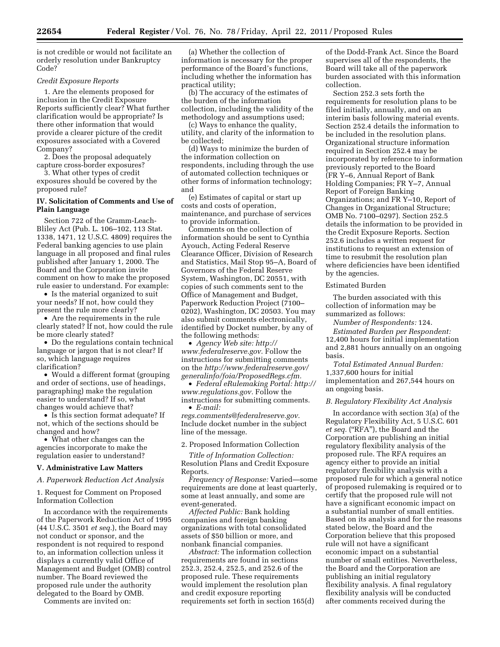is not credible or would not facilitate an orderly resolution under Bankruptcy Code?

### *Credit Exposure Reports*

1. Are the elements proposed for inclusion in the Credit Exposure Reports sufficiently clear? What further clarification would be appropriate? Is there other information that would provide a clearer picture of the credit exposures associated with a Covered Company?

2. Does the proposal adequately capture cross-border exposures?

3. What other types of credit exposures should be covered by the proposed rule?

# **IV. Solicitation of Comments and Use of Plain Language**

Section 722 of the Gramm-Leach-Bliley Act (Pub. L. 106–102, 113 Stat. 1338, 1471, 12 U.S.C. 4809) requires the Federal banking agencies to use plain language in all proposed and final rules published after January 1, 2000. The Board and the Corporation invite comment on how to make the proposed rule easier to understand. For example:

• Is the material organized to suit your needs? If not, how could they present the rule more clearly?

• Are the requirements in the rule clearly stated? If not, how could the rule be more clearly stated?

• Do the regulations contain technical language or jargon that is not clear? If so, which language requires clarification?

• Would a different format (grouping and order of sections, use of headings, paragraphing) make the regulation easier to understand? If so, what changes would achieve that?

• Is this section format adequate? If not, which of the sections should be changed and how?

• What other changes can the agencies incorporate to make the regulation easier to understand?

#### **V. Administrative Law Matters**

# *A. Paperwork Reduction Act Analysis*

1. Request for Comment on Proposed Information Collection

In accordance with the requirements of the Paperwork Reduction Act of 1995 (44 U.S.C. 3501 *et seq.*), the Board may not conduct or sponsor, and the respondent is not required to respond to, an information collection unless it displays a currently valid Office of Management and Budget (OMB) control number. The Board reviewed the proposed rule under the authority delegated to the Board by OMB.

Comments are invited on:

(a) Whether the collection of information is necessary for the proper performance of the Board's functions, including whether the information has practical utility;

(b) The accuracy of the estimates of the burden of the information collection, including the validity of the methodology and assumptions used;

(c) Ways to enhance the quality, utility, and clarity of the information to be collected;

(d) Ways to minimize the burden of the information collection on respondents, including through the use of automated collection techniques or other forms of information technology; and

(e) Estimates of capital or start up costs and costs of operation, maintenance, and purchase of services to provide information.

Comments on the collection of information should be sent to Cynthia Ayouch, Acting Federal Reserve Clearance Officer, Division of Research and Statistics, Mail Stop 95–A, Board of Governors of the Federal Reserve System, Washington, DC 20551, with copies of such comments sent to the Office of Management and Budget, Paperwork Reduction Project (7100– 0202), Washington, DC 20503. You may also submit comments electronically, identified by Docket number, by any of the following methods:

• *Agency Web site: [http://](http://www.federalreserve.gov) [www.federalreserve.gov.](http://www.federalreserve.gov)* Follow the instructions for submitting comments on the *[http://www.federalreserve.gov/](http://www.federalreserve.gov/generalinfo/foia/ProposedRegs.cfm) [generalinfo/foia/ProposedRegs.cfm.](http://www.federalreserve.gov/generalinfo/foia/ProposedRegs.cfm)* 

• *Federal eRulemaking Portal: [http://](http://www.regulations.gov)  [www.regulations.gov.](http://www.regulations.gov)* Follow the instructions for submitting comments. • *E-mail:* 

*[regs.comments@federalreserve.gov.](mailto:regs.comments@federalreserve.gov)*  Include docket number in the subject line of the message.

#### 2. Proposed Information Collection

*Title of Information Collection:*  Resolution Plans and Credit Exposure Reports.

*Frequency of Response:* Varied—some requirements are done at least quarterly, some at least annually, and some are event-generated.

*Affected Public:* Bank holding companies and foreign banking organizations with total consolidated assets of \$50 billion or more, and nonbank financial companies.

*Abstract:* The information collection requirements are found in sections 252.3, 252.4, 252.5, and 252.6 of the proposed rule. These requirements would implement the resolution plan and credit exposure reporting requirements set forth in section 165(d)

of the Dodd-Frank Act. Since the Board supervises all of the respondents, the Board will take all of the paperwork burden associated with this information collection.

Section 252.3 sets forth the requirements for resolution plans to be filed initially, annually, and on an interim basis following material events. Section 252.4 details the information to be included in the resolution plans. Organizational structure information required in Section 252.4 may be incorporated by reference to information previously reported to the Board (FR Y–6, Annual Report of Bank Holding Companies; FR Y–7, Annual Report of Foreign Banking Organizations; and FR Y–10, Report of Changes in Organizational Structure; OMB No. 7100–0297). Section 252.5 details the information to be provided in the Credit Exposure Reports. Section 252.6 includes a written request for institutions to request an extension of time to resubmit the resolution plan where deficiencies have been identified by the agencies.

## Estimated Burden

The burden associated with this collection of information may be summarized as follows:

*Number of Respondents:* 124. *Estimated Burden per Respondent:*  12,400 hours for initial implementation and 2,881 hours annually on an ongoing basis.

*Total Estimated Annual Burden:*  1,337,600 hours for initial implementation and 267,544 hours on an ongoing basis.

#### *B. Regulatory Flexibility Act Analysis*

In accordance with section 3(a) of the Regulatory Flexibility Act, 5 U.S.C. 601 *et seq.* (''RFA''), the Board and the Corporation are publishing an initial regulatory flexibility analysis of the proposed rule. The RFA requires an agency either to provide an initial regulatory flexibility analysis with a proposed rule for which a general notice of proposed rulemaking is required or to certify that the proposed rule will not have a significant economic impact on a substantial number of small entities. Based on its analysis and for the reasons stated below, the Board and the Corporation believe that this proposed rule will not have a significant economic impact on a substantial number of small entities. Nevertheless, the Board and the Corporation are publishing an initial regulatory flexibility analysis. A final regulatory flexibility analysis will be conducted after comments received during the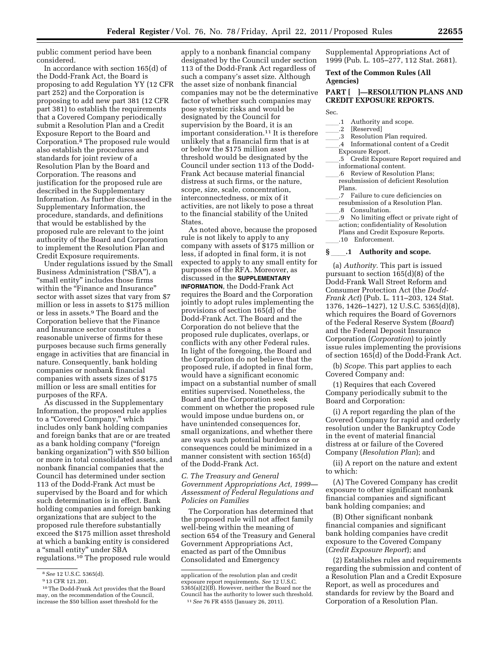public comment period have been considered.

In accordance with section 165(d) of the Dodd-Frank Act, the Board is proposing to add Regulation YY (12 CFR part 252) and the Corporation is proposing to add new part 381 (12 CFR part 381) to establish the requirements that a Covered Company periodically submit a Resolution Plan and a Credit Exposure Report to the Board and Corporation.8 The proposed rule would also establish the procedures and standards for joint review of a Resolution Plan by the Board and Corporation. The reasons and justification for the proposed rule are described in the Supplementary Information. As further discussed in the Supplementary Information, the procedure, standards, and definitions that would be established by the proposed rule are relevant to the joint authority of the Board and Corporation to implement the Resolution Plan and Credit Exposure requirements.

Under regulations issued by the Small Business Administration ("SBA"), a "small entity" includes those firms within the "Finance and Insurance" sector with asset sizes that vary from \$7 million or less in assets to \$175 million or less in assets.9 The Board and the Corporation believe that the Finance and Insurance sector constitutes a reasonable universe of firms for these purposes because such firms generally engage in activities that are financial in nature. Consequently, bank holding companies or nonbank financial companies with assets sizes of \$175 million or less are small entities for purposes of the RFA.

As discussed in the Supplementary Information, the proposed rule applies to a "Covered Company," which includes only bank holding companies and foreign banks that are or are treated as a bank holding company (''foreign banking organization'') with \$50 billion or more in total consolidated assets, and nonbank financial companies that the Council has determined under section 113 of the Dodd-Frank Act must be supervised by the Board and for which such determination is in effect. Bank holding companies and foreign banking organizations that are subject to the proposed rule therefore substantially exceed the \$175 million asset threshold at which a banking entity is considered a ''small entity'' under SBA regulations.10 The proposed rule would

apply to a nonbank financial company designated by the Council under section 113 of the Dodd-Frank Act regardless of such a company's asset size. Although the asset size of nonbank financial companies may not be the determinative factor of whether such companies may pose systemic risks and would be designated by the Council for supervision by the Board, it is an important consideration.<sup>11</sup> It is therefore unlikely that a financial firm that is at or below the \$175 million asset threshold would be designated by the Council under section 113 of the Dodd-Frank Act because material financial distress at such firms, or the nature, scope, size, scale, concentration, interconnectedness, or mix of it activities, are not likely to pose a threat to the financial stability of the United States.

As noted above, because the proposed rule is not likely to apply to any company with assets of \$175 million or less, if adopted in final form, it is not expected to apply to any small entity for purposes of the RFA. Moreover, as discussed in the **SUPPLEMENTARY INFORMATION**, the Dodd-Frank Act requires the Board and the Corporation jointly to adopt rules implementing the provisions of section 165(d) of the Dodd-Frank Act. The Board and the Corporation do not believe that the proposed rule duplicates, overlaps, or conflicts with any other Federal rules. In light of the foregoing, the Board and the Corporation do not believe that the proposed rule, if adopted in final form, would have a significant economic impact on a substantial number of small entities supervised. Nonetheless, the Board and the Corporation seek comment on whether the proposed rule would impose undue burdens on, or have unintended consequences for, small organizations, and whether there are ways such potential burdens or consequences could be minimized in a manner consistent with section 165(d) of the Dodd-Frank Act.

# *C. The Treasury and General Government Appropriations Act, 1999— Assessment of Federal Regulations and Policies on Families*

The Corporation has determined that the proposed rule will not affect family well-being within the meaning of section 654 of the Treasury and General Government Appropriations Act, enacted as part of the Omnibus Consolidated and Emergency

Supplemental Appropriations Act of 1999 (Pub. L. 105–277, 112 Stat. 2681).

# **Text of the Common Rules (All Agencies)**

# **PART [ ]—RESOLUTION PLANS AND CREDIT EXPOSURE REPORTS.**

Sec.

- <sub>-</sub>.1 Authority and scope.<br>.2 [Reserved]
- .2 [Reserved]<br>.3 Resolution
- Resolution Plan required.
- .4 Informational content of a Credit
- Exposure Report.
- .5 Credit Exposure Report required and
- informational content.
- .6 Review of Resolution Plans; resubmission of deficient Resolution Plans.
- .7 Failure to cure deficiencies on resubmission of a Resolution Plan.
- 
- 8 Consultation.<br>9 No limiting ef ll.9 No limiting effect or private right of the confidentiality of Resolution action; confidentiality of Resolution
	- Plans and Credit Exposure Reports. ll.10 Enforcement.

## **§** \_\_\_\_.1 Authority and scope.

(a) *Authority.* This part is issued pursuant to section 165(d)(8) of the Dodd-Frank Wall Street Reform and Consumer Protection Act (the *Dodd-Frank Act*) (Pub. L. 111–203, 124 Stat. 1376, 1426–1427), 12 U.S.C. 5365(d)(8), which requires the Board of Governors of the Federal Reserve System (*Board*) and the Federal Deposit Insurance Corporation (*Corporation*) to jointly issue rules implementing the provisions of section 165(d) of the Dodd-Frank Act.

(b) *Scope.* This part applies to each Covered Company and:

(1) Requires that each Covered Company periodically submit to the Board and Corporation:

(i) A report regarding the plan of the Covered Company for rapid and orderly resolution under the Bankruptcy Code in the event of material financial distress at or failure of the Covered Company (*Resolution Plan*); and

(ii) A report on the nature and extent to which:

(A) The Covered Company has credit exposure to other significant nonbank financial companies and significant bank holding companies; and

(B) Other significant nonbank financial companies and significant bank holding companies have credit exposure to the Covered Company (*Credit Exposure Report*); and

(2) Establishes rules and requirements regarding the submission and content of a Resolution Plan and a Credit Exposure Report, as well as procedures and standards for review by the Board and Corporation of a Resolution Plan.

<sup>8</sup>*See* 12 U.S.C. 5365(d).

<sup>9</sup> 13 CFR 121.201.

<sup>10</sup>The Dodd-Frank Act provides that the Board may, on the recommendation of the Council, increase the \$50 billion asset threshold for the

application of the resolution plan and credit exposure report requirements. *See* 12 U.S.C. 5365(a)(2)(B). However, neither the Board nor the Council has the authority to lower such threshold. 11*See* 76 FR 4555 (January 26, 2011).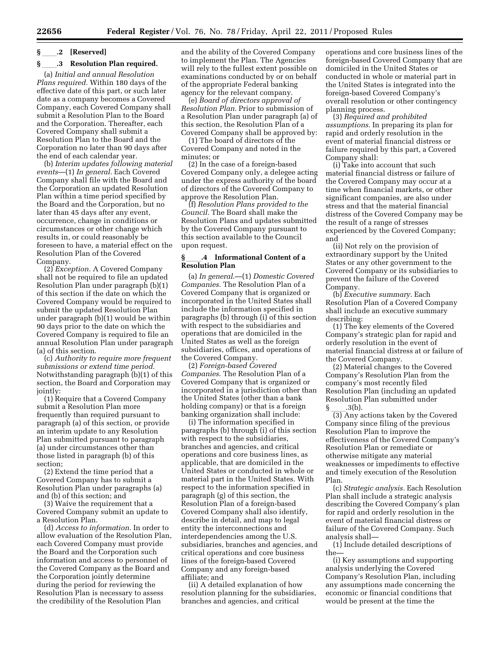# **§** ll**.2 [Reserved]**

# **§** 3 Resolution Plan required.

(a) *Initial and annual Resolution Plans required.* Within 180 days of the effective date of this part, or such later date as a company becomes a Covered Company, each Covered Company shall submit a Resolution Plan to the Board and the Corporation. Thereafter, each Covered Company shall submit a Resolution Plan to the Board and the Corporation no later than 90 days after the end of each calendar year.

(b) *Interim updates following material events*—(1) *In general.* Each Covered Company shall file with the Board and the Corporation an updated Resolution Plan within a time period specified by the Board and the Corporation, but no later than 45 days after any event, occurrence, change in conditions or circumstances or other change which results in, or could reasonably be foreseen to have, a material effect on the Resolution Plan of the Covered Company.

(2) *Exception.* A Covered Company shall not be required to file an updated Resolution Plan under paragraph (b)(1) of this section if the date on which the Covered Company would be required to submit the updated Resolution Plan under paragraph (b)(1) would be within 90 days prior to the date on which the Covered Company is required to file an annual Resolution Plan under paragraph (a) of this section.

(c) *Authority to require more frequent submissions or extend time period.*  Notwithstanding paragraph (b)(1) of this section, the Board and Corporation may jointly:

(1) Require that a Covered Company submit a Resolution Plan more frequently than required pursuant to paragraph (a) of this section, or provide an interim update to any Resolution Plan submitted pursuant to paragraph (a) under circumstances other than those listed in paragraph (b) of this section;

(2) Extend the time period that a Covered Company has to submit a Resolution Plan under paragraphs (a) and (b) of this section; and

(3) Waive the requirement that a Covered Company submit an update to a Resolution Plan.

(d) *Access to information.* In order to allow evaluation of the Resolution Plan, each Covered Company must provide the Board and the Corporation such information and access to personnel of the Covered Company as the Board and the Corporation jointly determine during the period for reviewing the Resolution Plan is necessary to assess the credibility of the Resolution Plan

and the ability of the Covered Company to implement the Plan. The Agencies will rely to the fullest extent possible on examinations conducted by or on behalf of the appropriate Federal banking agency for the relevant company.

(e) *Board of directors approval of Resolution Plan.* Prior to submission of a Resolution Plan under paragraph (a) of this section, the Resolution Plan of a Covered Company shall be approved by:

(1) The board of directors of the Covered Company and noted in the minutes; or

(2) In the case of a foreign-based Covered Company only, a delegee acting under the express authority of the board of directors of the Covered Company to approve the Resolution Plan.

(f) *Resolution Plans provided to the Council.* The Board shall make the Resolution Plans and updates submitted by the Covered Company pursuant to this section available to the Council upon request.

# **§** ll**.4 Informational Content of a Resolution Plan**

(a) *In general*.—(1) *Domestic Covered Companies*. The Resolution Plan of a Covered Company that is organized or incorporated in the United States shall include the information specified in paragraphs (b) through (i) of this section with respect to the subsidiaries and operations that are domiciled in the United States as well as the foreign subsidiaries, offices, and operations of the Covered Company.

(2) *Foreign-based Covered Companies*. The Resolution Plan of a Covered Company that is organized or incorporated in a jurisdiction other than the United States (other than a bank holding company) or that is a foreign banking organization shall include:

(i) The information specified in paragraphs (b) through (i) of this section with respect to the subsidiaries, branches and agencies, and critical operations and core business lines, as applicable, that are domiciled in the United States or conducted in whole or material part in the United States. With respect to the information specified in paragraph (g) of this section, the Resolution Plan of a foreign-based Covered Company shall also identify, describe in detail, and map to legal entity the interconnections and interdependencies among the U.S. subsidiaries, branches and agencies, and critical operations and core business lines of the foreign-based Covered Company and any foreign-based affiliate; and

(ii) A detailed explanation of how resolution planning for the subsidiaries, branches and agencies, and critical

operations and core business lines of the foreign-based Covered Company that are domiciled in the United States or conducted in whole or material part in the United States is integrated into the foreign-based Covered Company's overall resolution or other contingency planning process.

(3) *Required and prohibited assumptions*. In preparing its plan for rapid and orderly resolution in the event of material financial distress or failure required by this part, a Covered Company shall:

(i) Take into account that such material financial distress or failure of the Covered Company may occur at a time when financial markets, or other significant companies, are also under stress and that the material financial distress of the Covered Company may be the result of a range of stresses experienced by the Covered Company; and

(ii) Not rely on the provision of extraordinary support by the United States or any other government to the Covered Company or its subsidiaries to prevent the failure of the Covered Company.

(b) *Executive summary*. Each Resolution Plan of a Covered Company shall include an executive summary describing:

(1) The key elements of the Covered Company's strategic plan for rapid and orderly resolution in the event of material financial distress at or failure of the Covered Company.

(2) Material changes to the Covered Company's Resolution Plan from the company's most recently filed Resolution Plan (including an updated Resolution Plan submitted under<br>§ .3(b).

 $\frac{1}{3}$  (3).<br>(3) Any actions taken by the Covered Company since filing of the previous Resolution Plan to improve the effectiveness of the Covered Company's Resolution Plan or remediate or otherwise mitigate any material weaknesses or impediments to effective and timely execution of the Resolution Plan.

(c) *Strategic analysis.* Each Resolution Plan shall include a strategic analysis describing the Covered Company's plan for rapid and orderly resolution in the event of material financial distress or failure of the Covered Company. Such analysis shall—

(1) Include detailed descriptions of the—

(i) Key assumptions and supporting analysis underlying the Covered Company's Resolution Plan, including any assumptions made concerning the economic or financial conditions that would be present at the time the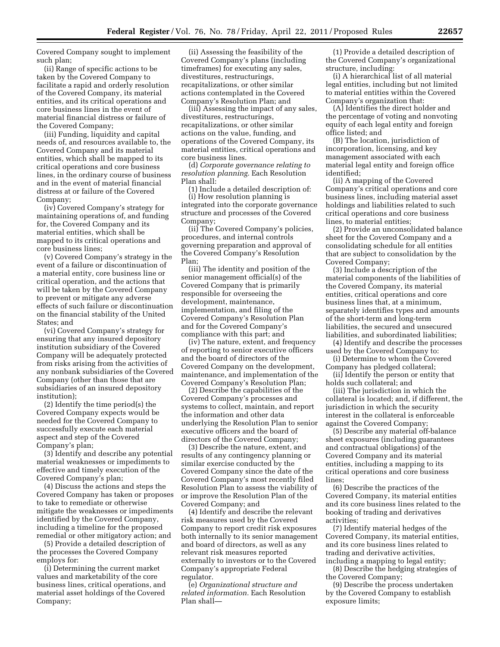Covered Company sought to implement such plan;

(ii) Range of specific actions to be taken by the Covered Company to facilitate a rapid and orderly resolution of the Covered Company, its material entities, and its critical operations and core business lines in the event of material financial distress or failure of the Covered Company;

(iii) Funding, liquidity and capital needs of, and resources available to, the Covered Company and its material entities, which shall be mapped to its critical operations and core business lines, in the ordinary course of business and in the event of material financial distress at or failure of the Covered Company;

(iv) Covered Company's strategy for maintaining operations of, and funding for, the Covered Company and its material entities, which shall be mapped to its critical operations and core business lines;

(v) Covered Company's strategy in the event of a failure or discontinuation of a material entity, core business line or critical operation, and the actions that will be taken by the Covered Company to prevent or mitigate any adverse effects of such failure or discontinuation on the financial stability of the United States; and

(vi) Covered Company's strategy for ensuring that any insured depository institution subsidiary of the Covered Company will be adequately protected from risks arising from the activities of any nonbank subsidiaries of the Covered Company (other than those that are subsidiaries of an insured depository institution);

(2) Identify the time period(s) the Covered Company expects would be needed for the Covered Company to successfully execute each material aspect and step of the Covered Company's plan;

(3) Identify and describe any potential material weaknesses or impediments to effective and timely execution of the Covered Company's plan;

(4) Discuss the actions and steps the Covered Company has taken or proposes to take to remediate or otherwise mitigate the weaknesses or impediments identified by the Covered Company, including a timeline for the proposed remedial or other mitigatory action; and

(5) Provide a detailed description of the processes the Covered Company employs for:

(i) Determining the current market values and marketability of the core business lines, critical operations, and material asset holdings of the Covered Company;

(ii) Assessing the feasibility of the Covered Company's plans (including timeframes) for executing any sales, divestitures, restructurings, recapitalizations, or other similar actions contemplated in the Covered Company's Resolution Plan; and

(iii) Assessing the impact of any sales, divestitures, restructurings, recapitalizations, or other similar actions on the value, funding, and operations of the Covered Company, its material entities, critical operations and core business lines.

(d) *Corporate governance relating to resolution planning.* Each Resolution Plan shall:

(1) Include a detailed description of: (i) How resolution planning is integrated into the corporate governance structure and processes of the Covered Company;

(ii) The Covered Company's policies, procedures, and internal controls governing preparation and approval of the Covered Company's Resolution Plan;

(iii) The identity and position of the senior management official(s) of the Covered Company that is primarily responsible for overseeing the development, maintenance, implementation, and filing of the Covered Company's Resolution Plan and for the Covered Company's compliance with this part; and

(iv) The nature, extent, and frequency of reporting to senior executive officers and the board of directors of the Covered Company on the development, maintenance, and implementation of the Covered Company's Resolution Plan;

(2) Describe the capabilities of the Covered Company's processes and systems to collect, maintain, and report the information and other data underlying the Resolution Plan to senior executive officers and the board of directors of the Covered Company;

(3) Describe the nature, extent, and results of any contingency planning or similar exercise conducted by the Covered Company since the date of the Covered Company's most recently filed Resolution Plan to assess the viability of or improve the Resolution Plan of the Covered Company; and

(4) Identify and describe the relevant risk measures used by the Covered Company to report credit risk exposures both internally to its senior management and board of directors, as well as any relevant risk measures reported externally to investors or to the Covered Company's appropriate Federal regulator.

(e) *Organizational structure and related information.* Each Resolution Plan shall—

(1) Provide a detailed description of the Covered Company's organizational structure, including:

(i) A hierarchical list of all material legal entities, including but not limited to material entities within the Covered Company's organization that:

(A) Identifies the direct holder and the percentage of voting and nonvoting equity of each legal entity and foreign office listed; and

(B) The location, jurisdiction of incorporation, licensing, and key management associated with each material legal entity and foreign office identified;

(ii) A mapping of the Covered Company's critical operations and core business lines, including material asset holdings and liabilities related to such critical operations and core business lines, to material entities;

(2) Provide an unconsolidated balance sheet for the Covered Company and a consolidating schedule for all entities that are subject to consolidation by the Covered Company;

(3) Include a description of the material components of the liabilities of the Covered Company, its material entities, critical operations and core business lines that, at a minimum, separately identifies types and amounts of the short-term and long-term liabilities, the secured and unsecured liabilities, and subordinated liabilities;

(4) Identify and describe the processes used by the Covered Company to:

(i) Determine to whom the Covered Company has pledged collateral;

(ii) Identify the person or entity that holds such collateral; and

(iii) The jurisdiction in which the collateral is located; and, if different, the jurisdiction in which the security interest in the collateral is enforceable against the Covered Company;

(5) Describe any material off-balance sheet exposures (including guarantees and contractual obligations) of the Covered Company and its material entities, including a mapping to its critical operations and core business lines;

(6) Describe the practices of the Covered Company, its material entities and its core business lines related to the booking of trading and derivatives activities;

(7) Identify material hedges of the Covered Company, its material entities, and its core business lines related to trading and derivative activities, including a mapping to legal entity;

(8) Describe the hedging strategies of the Covered Company;

(9) Describe the process undertaken by the Covered Company to establish exposure limits;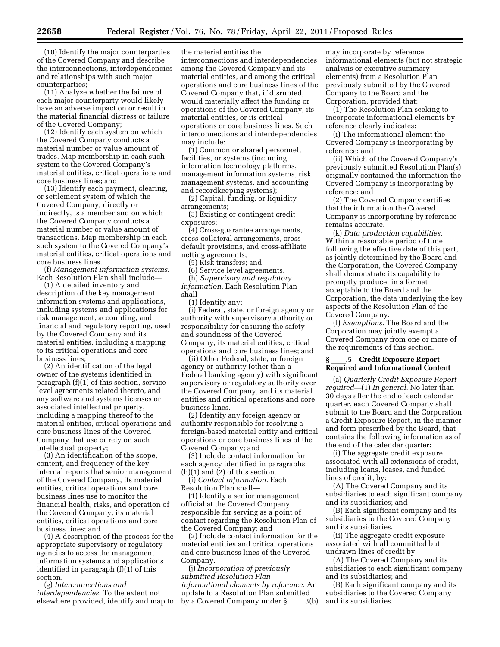(10) Identify the major counterparties of the Covered Company and describe the interconnections, interdependencies and relationships with such major counterparties;

(11) Analyze whether the failure of each major counterparty would likely have an adverse impact on or result in the material financial distress or failure of the Covered Company;

(12) Identify each system on which the Covered Company conducts a material number or value amount of trades. Map membership in each such system to the Covered Company's material entities, critical operations and core business lines; and

(13) Identify each payment, clearing, or settlement system of which the Covered Company, directly or indirectly, is a member and on which the Covered Company conducts a material number or value amount of transactions. Map membership in each such system to the Covered Company's material entities, critical operations and core business lines.

(f) *Management information systems.*  Each Resolution Plan shall include—

(1) A detailed inventory and description of the key management information systems and applications, including systems and applications for risk management, accounting, and financial and regulatory reporting, used by the Covered Company and its material entities, including a mapping to its critical operations and core business lines;

(2) An identification of the legal owner of the systems identified in paragraph (f)(1) of this section, service level agreements related thereto, and any software and systems licenses or associated intellectual property, including a mapping thereof to the material entities, critical operations and core business lines of the Covered Company that use or rely on such intellectual property;

(3) An identification of the scope, content, and frequency of the key internal reports that senior management of the Covered Company, its material entities, critical operations and core business lines use to monitor the financial health, risks, and operation of the Covered Company, its material entities, critical operations and core business lines; and

(4) A description of the process for the appropriate supervisory or regulatory agencies to access the management information systems and applications identified in paragraph (f)(1) of this section.

(g) *Interconnections and interdependencies.* To the extent not elsewhere provided, identify and map to the material entities the interconnections and interdependencies among the Covered Company and its material entities, and among the critical operations and core business lines of the Covered Company that, if disrupted, would materially affect the funding or operations of the Covered Company, its material entities, or its critical operations or core business lines. Such interconnections and interdependencies may include:

(1) Common or shared personnel, facilities, or systems (including information technology platforms, management information systems, risk management systems, and accounting and recordkeeping systems);

(2) Capital, funding, or liquidity arrangements;

(3) Existing or contingent credit exposures;

(4) Cross-guarantee arrangements, cross-collateral arrangements, crossdefault provisions, and cross-affiliate netting agreements;

(5) Risk transfers; and

(6) Service level agreements. (h) *Supervisory and regulatory* 

*information.* Each Resolution Plan shall—

(1) Identify any:

(i) Federal, state, or foreign agency or authority with supervisory authority or responsibility for ensuring the safety and soundness of the Covered Company, its material entities, critical operations and core business lines; and

(ii) Other Federal, state, or foreign agency or authority (other than a Federal banking agency) with significant supervisory or regulatory authority over the Covered Company, and its material entities and critical operations and core business lines.

(2) Identify any foreign agency or authority responsible for resolving a foreign-based material entity and critical operations or core business lines of the Covered Company; and

(3) Include contact information for each agency identified in paragraphs (h)(1) and (2) of this section.

(i) *Contact information.* Each Resolution Plan shall—

(1) Identify a senior management official at the Covered Company responsible for serving as a point of contact regarding the Resolution Plan of the Covered Company; and

(2) Include contact information for the material entities and critical operations and core business lines of the Covered Company.

(j) *Incorporation of previously submitted Resolution Plan informational elements by reference.* An update to a Resolution Plan submitted by a Covered Company under § .3(b)

may incorporate by reference informational elements (but not strategic analysis or executive summary elements) from a Resolution Plan previously submitted by the Covered Company to the Board and the Corporation, provided that:

(1) The Resolution Plan seeking to incorporate informational elements by reference clearly indicates:

(i) The informational element the Covered Company is incorporating by reference; and

(ii) Which of the Covered Company's previously submitted Resolution Plan(s) originally contained the information the Covered Company is incorporating by reference; and

(2) The Covered Company certifies that the information the Covered Company is incorporating by reference remains accurate.

(k) *Data production capabilities.*  Within a reasonable period of time following the effective date of this part, as jointly determined by the Board and the Corporation, the Covered Company shall demonstrate its capability to promptly produce, in a format acceptable to the Board and the Corporation, the data underlying the key aspects of the Resolution Plan of the Covered Company.

(l) *Exemptions.* The Board and the Corporation may jointly exempt a Covered Company from one or more of the requirements of this section.

# **§** ll**.5 Credit Exposure Report Required and Informational Content**

(a) *Quarterly Credit Exposure Report required*—(1) *In general.* No later than 30 days after the end of each calendar quarter, each Covered Company shall submit to the Board and the Corporation a Credit Exposure Report, in the manner and form prescribed by the Board, that contains the following information as of the end of the calendar quarter:

(i) The aggregate credit exposure associated with all extensions of credit, including loans, leases, and funded lines of credit, by:

(A) The Covered Company and its subsidiaries to each significant company and its subsidiaries; and

(B) Each significant company and its subsidiaries to the Covered Company and its subsidiaries.

(ii) The aggregate credit exposure associated with all committed but undrawn lines of credit by:

(A) The Covered Company and its subsidiaries to each significant company and its subsidiaries; and

(B) Each significant company and its subsidiaries to the Covered Company and its subsidiaries.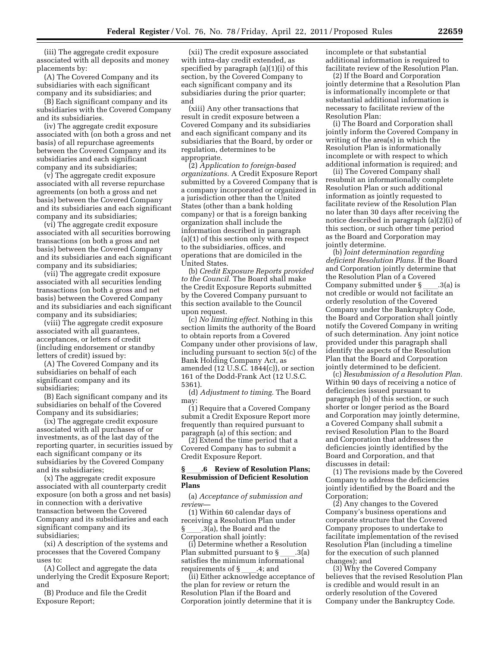(iii) The aggregate credit exposure associated with all deposits and money placements by:

(A) The Covered Company and its subsidiaries with each significant company and its subsidiaries; and

(B) Each significant company and its subsidiaries with the Covered Company and its subsidiaries.

(iv) The aggregate credit exposure associated with (on both a gross and net basis) of all repurchase agreements between the Covered Company and its subsidiaries and each significant company and its subsidiaries;

(v) The aggregate credit exposure associated with all reverse repurchase agreements (on both a gross and net basis) between the Covered Company and its subsidiaries and each significant company and its subsidiaries;

(vi) The aggregate credit exposure associated with all securities borrowing transactions (on both a gross and net basis) between the Covered Company and its subsidiaries and each significant company and its subsidiaries;

(vii) The aggregate credit exposure associated with all securities lending transactions (on both a gross and net basis) between the Covered Company and its subsidiaries and each significant company and its subsidiaries;

(viii) The aggregate credit exposure associated with all guarantees, acceptances, or letters of credit (including endorsement or standby letters of credit) issued by:

(A) The Covered Company and its subsidiaries on behalf of each significant company and its subsidiaries;

(B) Each significant company and its subsidiaries on behalf of the Covered Company and its subsidiaries;

(ix) The aggregate credit exposure associated with all purchases of or investments, as of the last day of the reporting quarter, in securities issued by each significant company or its subsidiaries by the Covered Company and its subsidiaries;

(x) The aggregate credit exposure associated with all counterparty credit exposure (on both a gross and net basis) in connection with a derivative transaction between the Covered Company and its subsidiaries and each significant company and its subsidiaries;

(xi) A description of the systems and processes that the Covered Company uses to:

(A) Collect and aggregate the data underlying the Credit Exposure Report; and

(B) Produce and file the Credit Exposure Report;

(xii) The credit exposure associated with intra-day credit extended, as specified by paragraph (a)(1)(i) of this section, by the Covered Company to each significant company and its subsidiaries during the prior quarter; and

(xiii) Any other transactions that result in credit exposure between a Covered Company and its subsidiaries and each significant company and its subsidiaries that the Board, by order or regulation, determines to be appropriate.

(2) *Application to foreign-based organizations.* A Credit Exposure Report submitted by a Covered Company that is a company incorporated or organized in a jurisdiction other than the United States (other than a bank holding company) or that is a foreign banking organization shall include the information described in paragraph (a)(1) of this section only with respect to the subsidiaries, offices, and operations that are domiciled in the United States.

(b) *Credit Exposure Reports provided to the Council.* The Board shall make the Credit Exposure Reports submitted by the Covered Company pursuant to this section available to the Council upon request.

(c) *No limiting effect.* Nothing in this section limits the authority of the Board to obtain reports from a Covered Company under other provisions of law, including pursuant to section 5(c) of the Bank Holding Company Act, as amended (12 U.S.C. 1844(c)), or section 161 of the Dodd-Frank Act (12 U.S.C. 5361).

(d) *Adjustment to timing.* The Board may:

(1) Require that a Covered Company submit a Credit Exposure Report more frequently than required pursuant to paragraph (a) of this section; and

(2) Extend the time period that a Covered Company has to submit a Credit Exposure Report.

## **§** ll**.6 Review of Resolution Plans; Resubmission of Deficient Resolution Plans**

(a) *Acceptance of submission and review*—

(1) Within 60 calendar days of receiving a Resolution Plan under § ll.3(a), the Board and the Corporation shall jointly:

(i) Determine whether a Resolution Plan submitted pursuant to  $\S$  \_\_\_\_\_.3(a) satisfies the minimum informational

requirements of § \_\_\_\_.4; and<br>ii) Either acknowledge acceptance of } the plan for review or return the Resolution Plan if the Board and Corporation jointly determine that it is

incomplete or that substantial additional information is required to facilitate review of the Resolution Plan.

(2) If the Board and Corporation jointly determine that a Resolution Plan is informationally incomplete or that substantial additional information is necessary to facilitate review of the Resolution Plan:

(i) The Board and Corporation shall jointly inform the Covered Company in writing of the area(s) in which the Resolution Plan is informationally incomplete or with respect to which additional information is required; and

(ii) The Covered Company shall resubmit an informationally complete Resolution Plan or such additional information as jointly requested to facilitate review of the Resolution Plan no later than 30 days after receiving the notice described in paragraph (a)(2)(i) of this section, or such other time period as the Board and Corporation may jointly determine.

(b) *Joint determination regarding deficient Resolution Plans.* If the Board and Corporation jointly determine that the Resolution Plan of a Covered<br>Company submitted under  $\S$  .3(a) is Company submitted under § \_\_\_.3(a) is<br>not credible or would not facilitate an orderly resolution of the Covered Company under the Bankruptcy Code, the Board and Corporation shall jointly notify the Covered Company in writing of such determination. Any joint notice provided under this paragraph shall identify the aspects of the Resolution Plan that the Board and Corporation jointly determined to be deficient.

(c) *Resubmission of a Resolution Plan.*  Within 90 days of receiving a notice of deficiencies issued pursuant to paragraph (b) of this section, or such shorter or longer period as the Board and Corporation may jointly determine, a Covered Company shall submit a revised Resolution Plan to the Board and Corporation that addresses the deficiencies jointly identified by the Board and Corporation, and that discusses in detail:

(1) The revisions made by the Covered Company to address the deficiencies jointly identified by the Board and the Corporation;

(2) Any changes to the Covered Company's business operations and corporate structure that the Covered Company proposes to undertake to facilitate implementation of the revised Resolution Plan (including a timeline for the execution of such planned changes); and

(3) Why the Covered Company believes that the revised Resolution Plan is credible and would result in an orderly resolution of the Covered Company under the Bankruptcy Code.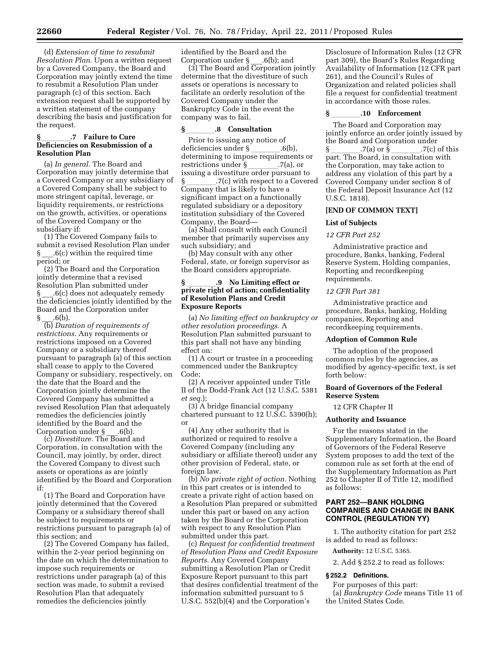(d) *Extension of time to resubmit Resolution Plan.* Upon a written request by a Covered Company, the Board and Corporation may jointly extend the time to resubmit a Resolution Plan under paragraph (c) of this section. Each extension request shall be supported by a written statement of the company describing the basis and justification for the request.

# **§**llll**.7 Failure to Cure Deficiencies on Resubmission of a Resolution Plan**

(a) *In general.* The Board and Corporation may jointly determine that a Covered Company or any subsidiary of a Covered Company shall be subject to more stringent capital, leverage, or liquidity requirements, or restrictions on the growth, activities, or operations of the Covered Company or the subsidiary if:

(1) The Covered Company fails to submit a revised Resolution Plan under  $.6(c)$  within the required time period; or

(2) The Board and the Corporation jointly determine that a revised Resolution Plan submitted under § \_\_\_.6(c) does not adequately remedy the deficiencies jointly identified by the Board and the Corporation under  $\S$  .6(b).

(b) *Duration of requirements of restrictions.* Any requirements or restrictions imposed on a Covered Company or a subsidiary thereof pursuant to paragraph (a) of this section shall cease to apply to the Covered Company or subsidiary, respectively, on the date that the Board and the Corporation jointly determine the Covered Company has submitted a revised Resolution Plan that adequately remedies the deficiencies jointly identified by the Board and the Corporation under  $\S$  .6(b).

(c) *Divestiture.* The Board and Corporation, in consultation with the Council, may jointly, by order, direct the Covered Company to divest such assets or operations as are jointly identified by the Board and Corporation if:

(1) The Board and Corporation have jointly determined that the Covered Company or a subsidiary thereof shall be subject to requirements or restrictions pursuant to paragraph (a) of this section; and

(2) The Covered Company has failed, within the 2-year period beginning on the date on which the determination to impose such requirements or restrictions under paragraph (a) of this section was made, to submit a revised Resolution Plan that adequately remedies the deficiencies jointly

identified by the Board and the Corporation under § \_\_\_.6(b); and

(3) The Board and Corporation jointly determine that the divestiture of such assets or operations is necessary to facilitate an orderly resolution of the Covered Company under the Bankruptcy Code in the event the company was to fail.

# **§**llll**.8 Consultation**

Prior to issuing any notice of<br>deficiencies under § 6 deficiencies under § \_\_\_\_\_\_.6(b),<br>determining to impose requirements or restrictions under § \_\_\_\_\_\_\_.7(a), or<br>issuing a divestiture order pursuant to .7(c) with respect to a Covered Company that is likely to have a significant impact on a functionally regulated subsidiary or a depository institution subsidiary of the Covered Company, the Board—

(a) Shall consult with each Council member that primarily supervises any such subsidiary; and

(b) May consult with any other Federal, state, or foreign supervisor as the Board considers appropriate.

# **§** llll**.9 No Limiting effect or private right of action; confidentiality of Resolution Plans and Credit Exposure Reports**

(a) *No limiting effect on bankruptcy or other resolution proceedings.* A Resolution Plan submitted pursuant to this part shall not have any binding effect on:

(1) A court or trustee in a proceeding commenced under the Bankruptcy Code;

(2) A receiver appointed under Title II of the Dodd-Frank Act (12 U.S.C. 5381 *et seq.*);

(3) A bridge financial company chartered pursuant to 12 U.S.C. 5390(h); or

(4) Any other authority that is authorized or required to resolve a Covered Company (including any subsidiary or affiliate thereof) under any other provision of Federal, state, or foreign law.

(b) *No private right of action.* Nothing in this part creates or is intended to create a private right of action based on a Resolution Plan prepared or submitted under this part or based on any action taken by the Board or the Corporation with respect to any Resolution Plan submitted under this part.

(c) *Request for confidential treatment of Resolution Plans and Credit Exposure Reports.* Any Covered Company submitting a Resolution Plan or Credit Exposure Report pursuant to this part that desires confidential treatment of the information submitted pursuant to 5 U.S.C. 552(b)(4) and the Corporation's

Disclosure of Information Rules (12 CFR part 309), the Board's Rules Regarding Availability of Information (12 CFR part 261), and the Council's Rules of Organization and related policies shall file a request for confidential treatment in accordance with those rules.

## **§** llll**.10 Enforcement**

The Board and Corporation may jointly enforce an order jointly issued by the Board and Corporation under § \_\_\_\_\_\_\_.7(a) or § \_\_\_\_\_\_\_.7(c) of this<br>part. The Board, in consultation with the Corporation, may take action to address any violation of this part by a Covered Company under section 8 of the Federal Deposit Insurance Act (12 U.S.C. 1818).

# **[END OF COMMON TEXT]**

# **List of Subjects**

# *12 CFR Part 252*

Administrative practice and procedure, Banks, banking, Federal Reserve System, Holding companies, Reporting and recordkeeping requirements.

# *12 CFR Part 381*

Administrative practice and procedure, Banks, banking, Holding companies, Reporting and recordkeeping requirements.

## **Adoption of Common Rule**

The adoption of the proposed common rules by the agencies, as modified by agency-specific text, is set forth below:

# **Board of Governors of the Federal Reserve System**

12 CFR Chapter II

# **Authority and Issuance**

For the reasons stated in the Supplementary Information, the Board of Governors of the Federal Reserve System proposes to add the text of the common rule as set forth at the end of the Supplementary Information as Part 252 to Chapter II of Title 12, modified as follows:

# **PART 252—BANK HOLDING COMPANIES AND CHANGE IN BANK CONTROL (REGULATION YY)**

1. The authority citation for part 252 is added to read as follows:

**Authority:** 12 U.S.C. 5365.

2. Add § 252.2 to read as follows:

# **§ 252.2 Definitions.**

For purposes of this part: (a) *Bankruptcy Code* means Title 11 of the United States Code.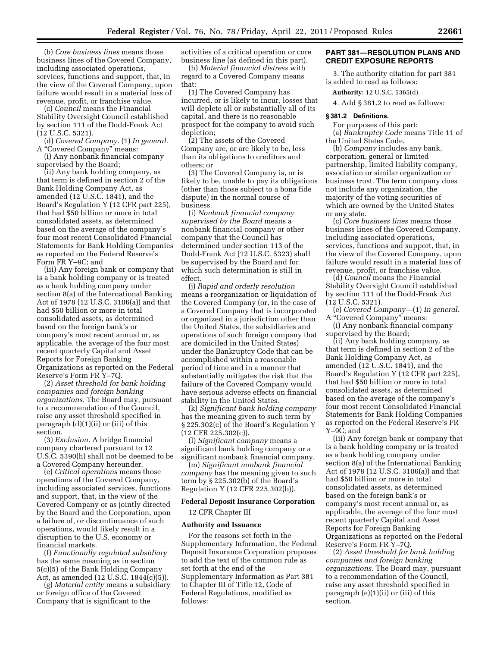(b) *Core business lines* means those business lines of the Covered Company, including associated operations, services, functions and support, that, in the view of the Covered Company, upon failure would result in a material loss of revenue, profit, or franchise value.

(c) *Council* means the Financial Stability Oversight Council established by section 111 of the Dodd-Frank Act (12 U.S.C. 5321).

(d) *Covered Company.* (1) *In general.*  A ''Covered Company'' means:

(i) Any nonbank financial company supervised by the Board;

(ii) Any bank holding company, as that term is defined in section 2 of the Bank Holding Company Act, as amended (12 U.S.C. 1841), and the Board's Regulation Y (12 CFR part 225), that had \$50 billion or more in total consolidated assets, as determined based on the average of the company's four most recent Consolidated Financial Statements for Bank Holding Companies as reported on the Federal Reserve's Form FR Y–9C; and

(iii) Any foreign bank or company that is a bank holding company or is treated as a bank holding company under section 8(a) of the International Banking Act of 1978 (12 U.S.C. 3106(a)) and that had \$50 billion or more in total consolidated assets, as determined based on the foreign bank's or company's most recent annual or, as applicable, the average of the four most recent quarterly Capital and Asset Reports for Foreign Banking Organizations as reported on the Federal Reserve's Form FR Y–7Q.

(2) *Asset threshold for bank holding companies and foreign banking organizations.* The Board may, pursuant to a recommendation of the Council, raise any asset threshold specified in paragraph (d)(1)(ii) or (iii) of this section.

(3) *Exclusion.* A bridge financial company chartered pursuant to 12 U.S.C. 5390(h) shall not be deemed to be a Covered Company hereunder.

(e) *Critical operations* means those operations of the Covered Company, including associated services, functions and support, that, in the view of the Covered Company or as jointly directed by the Board and the Corporation, upon a failure of, or discontinuance of such operations, would likely result in a disruption to the U.S. economy or financial markets.

(f) *Functionally regulated subsidiary*  has the same meaning as in section 5(c)(5) of the Bank Holding Company Act, as amended (12 U.S.C. 1844(c)(5)).

(g) *Material entity* means a subsidiary or foreign office of the Covered Company that is significant to the

activities of a critical operation or core business line (as defined in this part).

(h) *Material financial distress* with regard to a Covered Company means that:

(1) The Covered Company has incurred, or is likely to incur, losses that will deplete all or substantially all of its capital, and there is no reasonable prospect for the company to avoid such depletion;

(2) The assets of the Covered Company are, or are likely to be, less than its obligations to creditors and others; or

(3) The Covered Company is, or is likely to be, unable to pay its obligations (other than those subject to a bona fide dispute) in the normal course of business.

(i) *Nonbank financial company supervised by the Board* means a nonbank financial company or other company that the Council has determined under section 113 of the Dodd-Frank Act (12 U.S.C. 5323) shall be supervised by the Board and for which such determination is still in effect.

(j) *Rapid and orderly resolution*  means a reorganization or liquidation of the Covered Company (or, in the case of a Covered Company that is incorporated or organized in a jurisdiction other than the United States, the subsidiaries and operations of such foreign company that are domiciled in the United States) under the Bankruptcy Code that can be accomplished within a reasonable period of time and in a manner that substantially mitigates the risk that the failure of the Covered Company would have serious adverse effects on financial stability in the United States.

(k) *Significant bank holding company*  has the meaning given to such term by § 225.302(c) of the Board's Regulation Y (12 CFR 225.302(c)).

(l) *Significant company* means a significant bank holding company or a significant nonbank financial company.

(m) *Significant nonbank financial company* has the meaning given to such term by § 225.302(b) of the Board's Regulation Y (12 CFR 225.302(b)).

#### **Federal Deposit Insurance Corporation**

12 CFR Chapter III

#### **Authority and Issuance**

For the reasons set forth in the Supplementary Information, the Federal Deposit Insurance Corporation proposes to add the text of the common rule as set forth at the end of the Supplementary Information as Part 381 to Chapter III of Title 12, Code of Federal Regulations, modified as follows:

# **PART 381—RESOLUTION PLANS AND CREDIT EXPOSURE REPORTS**

3. The authority citation for part 381 is added to read as follows:

**Authority:** 12 U.S.C. 5365(d).

4. Add § 381.2 to read as follows:

## **§ 381.2 Definitions.**

For purposes of this part: (a) *Bankruptcy Code* means Title 11 of the United States Code.

(b) *Company* includes any bank, corporation, general or limited partnership, limited liability company, association or similar organization or business trust. The term company does not include any organization, the majority of the voting securities of which are owned by the United States or any state.

(c) *Core business lines* means those business lines of the Covered Company, including associated operations, services, functions and support, that, in the view of the Covered Company, upon failure would result in a material loss of revenue, profit, or franchise value.

(d) *Council* means the Financial Stability Oversight Council established by section 111 of the Dodd-Frank Act (12 U.S.C. 5321).

(e) *Covered Company*—(1) *In general.*  A ''Covered Company'' means:

(i) Any nonbank financial company supervised by the Board;

(ii) Any bank holding company, as that term is defined in section 2 of the Bank Holding Company Act, as amended (12 U.S.C. 1841), and the Board's Regulation Y (12 CFR part 225), that had \$50 billion or more in total consolidated assets, as determined based on the average of the company's four most recent Consolidated Financial Statements for Bank Holding Companies as reported on the Federal Reserve's FR Y–9C; and

(iii) Any foreign bank or company that is a bank holding company or is treated as a bank holding company under section 8(a) of the International Banking Act of 1978 (12 U.S.C. 3106(a)) and that had \$50 billion or more in total consolidated assets, as determined based on the foreign bank's or company's most recent annual or, as applicable, the average of the four most recent quarterly Capital and Asset Reports for Foreign Banking Organizations as reported on the Federal Reserve's Form FR Y–7Q.

(2) *Asset threshold for bank holding companies and foreign banking organizations.* The Board may, pursuant to a recommendation of the Council, raise any asset threshold specified in paragraph (e)(1)(ii) or (iii) of this section.